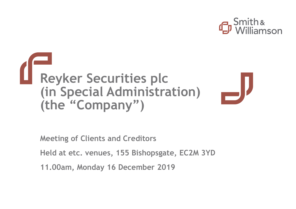



**Meeting of Clients and Creditors**

**Held at etc. venues, 155 Bishopsgate, EC2M 3YD**

**11.00am, Monday 16 December 2019**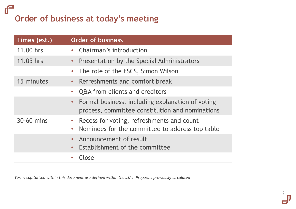### $\mathbf{f}$ **Order of business at today's meeting**

| Times (est.) | <b>Order of business</b>                                                                                    |
|--------------|-------------------------------------------------------------------------------------------------------------|
| 11.00 hrs    | • Chairman's introduction                                                                                   |
| 11.05 hrs    | • Presentation by the Special Administrators                                                                |
|              | • The role of the FSCS, Simon Wilson                                                                        |
| 15 minutes   | • Refreshments and comfort break                                                                            |
|              | • Q&A from clients and creditors                                                                            |
|              | • Formal business, including explanation of voting<br>process, committee constitution and nominations       |
| 30-60 mins   | Recess for voting, refreshments and count<br>$\bullet$<br>• Nominees for the committee to address top table |
|              | • Announcement of result<br>Establishment of the committee<br>$\bullet$                                     |
|              | Close                                                                                                       |

*Terms capitalised within this document are defined within the JSAs' Proposals previously circulated*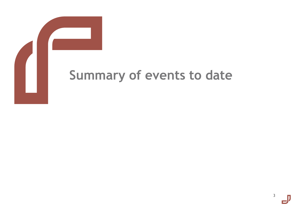

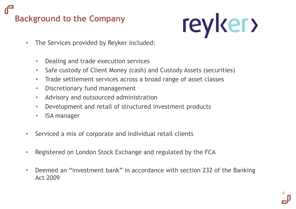# **Background to the Company**



- The Services provided by Reyker included:
	- Dealing and trade execution services
	- Safe custody of Client Money (cash) and Custody Assets (securities)
	- Trade settlement services across a broad range of asset classes
	- Discretionary fund management
	- Advisory and outsourced administration
	- Development and retail of structured investment products
	- ISA manager
- Serviced a mix of corporate and individual retail clients
- Registered on London Stock Exchange and regulated by the FCA
- Deemed an "investment bank" in accordance with section 232 of the Banking Act 2009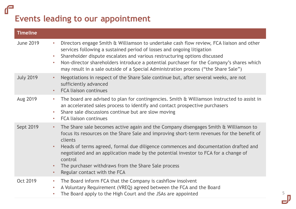### $\mathbf{f}$ **Events leading to our appointment**

| <b>Timeline</b>  |                                                                                                                                                                                                                                                                                                                                                                                                                                                                                                                                   |
|------------------|-----------------------------------------------------------------------------------------------------------------------------------------------------------------------------------------------------------------------------------------------------------------------------------------------------------------------------------------------------------------------------------------------------------------------------------------------------------------------------------------------------------------------------------|
| <b>June 2019</b> | Directors engage Smith & Williamson to undertake cash flow review, FCA liaison and other<br>$\bullet$<br>services following a sustained period of losses and ongoing litigation<br>Shareholder dispute escalates and various restructuring options discussed<br>$\bullet$<br>Non-director shareholders introduce a potential purchaser for the Company's shares which<br>$\bullet$<br>may result in a sale outside of a Special Administration process ("the Share Sale")                                                         |
| <b>July 2019</b> | Negotiations in respect of the Share Sale continue but, after several weeks, are not<br>$\bullet$<br>sufficiently advanced<br><b>FCA liaison continues</b><br>$\bullet$                                                                                                                                                                                                                                                                                                                                                           |
| Aug 2019         | The board are advised to plan for contingencies. Smith & Williamson instructed to assist in<br>$\bullet$<br>an accelerated sales process to identify and contact prospective purchasers<br>Share sale discussions continue but are slow moving<br>$\bullet$<br><b>FCA liaison continues</b><br>$\bullet$                                                                                                                                                                                                                          |
| Sept 2019        | The Share sale becomes active again and the Company disengages Smith & Williamson to<br>$\bullet$<br>focus its resources on the Share Sale and improving short-term revenues for the benefit of<br>clients<br>Heads of terms agreed, formal due diligence commences and documentation drafted and<br>$\bullet$<br>negotiated and an application made by the potential investor to FCA for a change of<br>control<br>The purchaser withdraws from the Share Sale process<br>$\bullet$<br>Regular contact with the FCA<br>$\bullet$ |
| <b>Oct 2019</b>  | The Board inform FCA that the Company is cashflow insolvent<br>$\bullet$<br>A Voluntary Requirement (VREQ) agreed between the FCA and the Board<br>$\bullet$<br>The Board apply to the High Court and the JSAs are appointed<br>$\bullet$                                                                                                                                                                                                                                                                                         |

5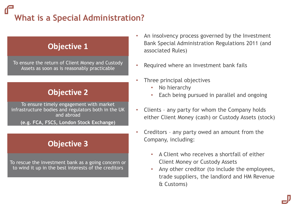# **What is a Special Administration?**

### **Objective 1**

To ensure the return of Client Money and Custody Assets as soon as is reasonably practicable

### **Objective 2**

To ensure timely engagement with market infrastructure bodies and regulators both in the UK and abroad

**(e.g. FCA, FSCS, London Stock Exchange)**

### **Objective 3**

To rescue the investment bank as a going concern or to wind it up in the best interests of the creditors

- An insolvency process governed by the Investment Bank Special Administration Regulations 2011 (and associated Rules)
- Required where an investment bank fails
- Three principal objectives
	- No hierarchy
	- Each being pursued in parallel and ongoing
- Clients any party for whom the Company holds either Client Money (cash) or Custody Assets (stock)
- Creditors any party owed an amount from the Company, including:
	- A Client who receives a shortfall of either Client Money or Custody Assets
	- Any other creditor (to include the employees, trade suppliers, the landlord and HM Revenue & Customs)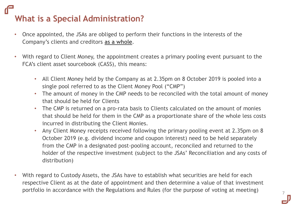# **What is a Special Administration?**

- Once appointed, the JSAs are obliged to perform their functions in the interests of the Company's clients and creditors **as a whole**.
- With regard to Client Money, the appointment creates a primary pooling event pursuant to the FCA's client asset sourcebook (CASS), this means:
	- All Client Money held by the Company as at 2.35pm on 8 October 2019 is pooled into a single pool referred to as the Client Money Pool ("CMP")
	- The amount of money in the CMP needs to be reconciled with the total amount of money that should be held for Clients
	- The CMP is returned on a pro-rata basis to Clients calculated on the amount of monies that should be held for them in the CMP as a proportionate share of the whole less costs incurred in distributing the Client Monies.
	- Any Client Money receipts received following the primary pooling event at 2.35pm on 8 October 2019 (e.g. dividend income and coupon interest) need to be held separately from the CMP in a designated post-pooling account, reconciled and returned to the holder of the respective investment (subject to the JSAs' Reconciliation and any costs of distribution)
- With regard to Custody Assets, the JSAs have to establish what securities are held for each respective Client as at the date of appointment and then determine a value of that investment portfolio in accordance with the Regulations and Rules (for the purpose of voting at meeting)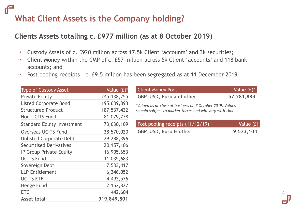# **What Client Assets is the Company holding?**

### **Clients Assets totalling c. £977 million (as at 8 October 2019)**

- Custody Assets of c. £920 million across 17.5k Client 'accounts' and 3k securities;
- Client Money within the CMP of c. £57 million across 5k Client 'accounts' and 118 bank accounts; and
- Post pooling receipts c. £9.5 million has been segregated as at 11 December 2019

| <b>Type of Custody Asset</b>      | Value $(f)^*$ | <b>Client Money Pool</b>                   |
|-----------------------------------|---------------|--------------------------------------------|
| <b>Private Equity</b>             | 245, 138, 255 | GBP, USD, Euro and other                   |
| <b>Listed Corporate Bond</b>      | 195,639,893   | *Valued as at close of business on 7 Octor |
| <b>Structured Product</b>         | 187, 537, 432 | remain subject to market forces and will   |
| <b>Non-UCITS Fund</b>             | 81,079,778    |                                            |
| <b>Standard Equity Investment</b> | 73,630,109    | Post pooling receipts (11/12/19            |
| <b>Overseas UCITS Fund</b>        | 38,570,020    | GBP, USD, Euro & other                     |
| <b>Unlisted Corporate Debt</b>    | 29,288,396    |                                            |
| <b>Securitised Derivatives</b>    | 20, 157, 106  |                                            |
| IP Group Private Equity           | 16,905,653    |                                            |
| <b>UCITS Fund</b>                 | 11,035,683    |                                            |
| Sovereign Debt                    | 7,533,417     |                                            |
| <b>LLP Entitlement</b>            | 6,246,052     |                                            |
| <b>UCITS ETF</b>                  | 4,492,576     |                                            |
| <b>Hedge Fund</b>                 | 2,152,827     |                                            |
| <b>ETC</b>                        | 442,604       |                                            |
| <b>Asset total</b>                | 919,849,801   |                                            |
|                                   |               |                                            |

| GBP, USD, Euro and other                                                                                              | 57,281,884 |
|-----------------------------------------------------------------------------------------------------------------------|------------|
| *Valued as at close of business on 7 October 2019. Values<br>remain subject to market forces and will vary with time. |            |
| Post pooling receipts (11/12/19)                                                                                      | Value (£)  |
| GBP, USD, Euro & other                                                                                                | 9,523,104  |

Value  $(E)^*$ 

8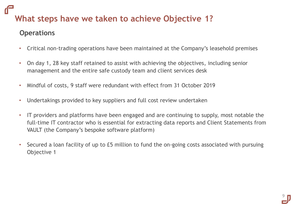## **What steps have we taken to achieve Objective 1?**

### **Operations**

- Critical non-trading operations have been maintained at the Company's leasehold premises
- On day 1, 28 key staff retained to assist with achieving the objectives, including senior management and the entire safe custody team and client services desk
- Mindful of costs, 9 staff were redundant with effect from 31 October 2019
- Undertakings provided to key suppliers and full cost review undertaken
- IT providers and platforms have been engaged and are continuing to supply, most notable the full-time IT contractor who is essential for extracting data reports and Client Statements from VAULT (the Company's bespoke software platform)
- Secured a loan facility of up to £5 million to fund the on-going costs associated with pursuing Objective 1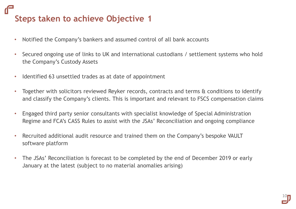# **Steps taken to achieve Objective 1**

- Notified the Company's bankers and assumed control of all bank accounts
- Secured ongoing use of links to UK and international custodians / settlement systems who hold the Company's Custody Assets
- Identified 63 unsettled trades as at date of appointment
- Together with solicitors reviewed Reyker records, contracts and terms & conditions to identify and classify the Company's clients. This is important and relevant to FSCS compensation claims
- Engaged third party senior consultants with specialist knowledge of Special Administration Regime and FCA's CASS Rules to assist with the JSAs' Reconciliation and ongoing compliance
- Recruited additional audit resource and trained them on the Company's bespoke VAULT software platform
- The JSAs' Reconciliation is forecast to be completed by the end of December 2019 or early January at the latest (subject to no material anomalies arising)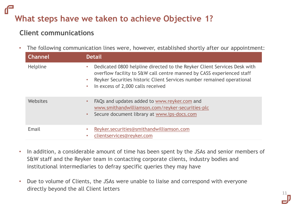# **What steps have we taken to achieve Objective 1?**

### **Client communications**

• The following communication lines were, however, established shortly after our appointment:

| <b>Channel</b>  | <b>Detail</b>                                                                                                                                                                                                                                                                                           |
|-----------------|---------------------------------------------------------------------------------------------------------------------------------------------------------------------------------------------------------------------------------------------------------------------------------------------------------|
| <b>Helpline</b> | Dedicated 0800 helpline directed to the Reyker Client Services Desk with<br>$\bullet$<br>overflow facility to S&W call centre manned by CASS experienced staff<br>Reyker Securities historic Client Services number remained operational<br>$\bullet$<br>In excess of 2,000 calls received<br>$\bullet$ |
| Websites        | FAQs and updates added to www.reyker.com and<br>$\bullet$<br>www.smithandwilliamson.com/reyker-securities-plc<br>Secure document library at www.ips-docs.com<br>$\bullet$                                                                                                                               |
| Email           | Reyker.securities@smithandwilliamson.com<br>$\bullet$<br>clientservices@reyker.com<br>$\bullet$                                                                                                                                                                                                         |

- In addition, a considerable amount of time has been spent by the JSAs and senior members of S&W staff and the Reyker team in contacting corporate clients, industry bodies and institutional intermediaries to defray specific queries they may have
- Due to volume of Clients, the JSAs were unable to liaise and correspond with everyone directly beyond the all Client letters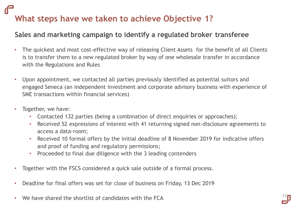# **What steps have we taken to achieve Objective 1?**

### **Sales and marketing campaign to identify a regulated broker transferee**

- The quickest and most cost-effective way of releasing Client Assets for the benefit of all Clients is to transfer them to a new regulated broker by way of one wholesale transfer in accordance with the Regulations and Rules
- Upon appointment, we contacted all parties previously identified as potential suitors and engaged Seneca (an independent investment and corporate advisory business with experience of SME transactions within financial services)
- Together, we have:
	- Contacted 132 parties (being a combination of direct enquiries or approaches);
	- Received 52 expressions of interest with 41 returning signed non-disclosure agreements to access a data-room;
	- Received 10 formal offers by the initial deadline of 8 November 2019 for indicative offers and proof of funding and regulatory permissions;
	- Proceeded to final due diligence with the 3 leading contenders
- Together with the FSCS considered a quick sale outside of a formal process.
- Deadline for final offers was set for close of business on Friday, 13 Dec 2019
- We have shared the shortlist of candidates with the  $FCA$

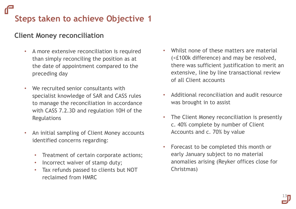# **Steps taken to achieve Objective 1**

### **Client Money reconciliation**

- A more extensive reconciliation is required than simply reconciling the position as at the date of appointment compared to the preceding day
- We recruited senior consultants with specialist knowledge of SAR and CASS rules to manage the reconciliation in accordance with CASS 7.2.3D and regulation 10H of the Regulations
- An initial sampling of Client Money accounts identified concerns regarding:
	- Treatment of certain corporate actions;
	- Incorrect waiver of stamp duty;
	- Tax refunds passed to clients but NOT reclaimed from HMRC
- Whilst none of these matters are material (<£100k difference) and may be resolved, there was sufficient justification to merit an extensive, line by line transactional review of all Client accounts
- Additional reconciliation and audit resource was brought in to assist
- The Client Money reconciliation is presently c. 40% complete by number of Client Accounts and c. 70% by value
- Forecast to be completed this month or early January subject to no material anomalies arising (Reyker offices close for Christmas)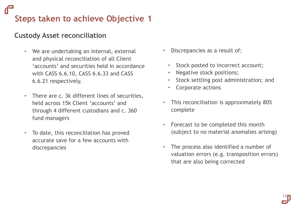# **Steps taken to achieve Objective 1**

### **Custody Asset reconciliation**

- We are undertaking an internal, external and physical reconciliation of all Client 'accounts' and securities held in accordance with CASS 6.6.10, CASS 6.6.33 and CASS 6.6.21 respectively.
- There are c. 3k different lines of securities, held across 15k Client 'accounts' and through 4 different custodians and c. 360 fund managers
- To date, this reconciliation has proved accurate save for a few accounts with discrepancies
- Discrepancies as a result of:
	- Stock posted to incorrect account;
	- Negative stock positions;
	- Stock settling post administration; and
	- Corporate actions
- This reconciliation is approximately 80% complete
- Forecast to be completed this month (subject to no material anomalies arising)
- The process also identified a number of valuation errors (e.g. transposition errors) that are also being corrected

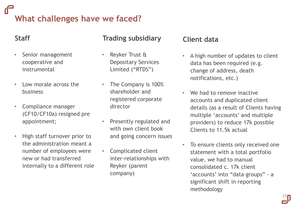# **What challenges have we faced?**

### **Staff**

- Senior management cooperative and instrumental
- Low morale across the business
- Compliance manager (CF10/CF10a) resigned pre appointment;
- High staff turnover prior to the administration meant a number of employees were new or had transferred internally to a different role

### **Trading subsidiary**

- Reyker Trust & Depositary Services Limited ("RTDS")
- The Company is 100% shareholder and registered corporate director
- Presently regulated and with own client book and going concern issues
- Complicated client inter-relationships with Reyker (parent company)

### **Client data**

- A high number of updates to client data has been required (e.g. change of address, death notifications, etc.)
- We had to remove inactive accounts and duplicated client details (as a result of Clients having multiple 'accounts' and multiple providers) to reduce 17k possible Clients to 11.5k actual
- To ensure clients only received one statement with a total portfolio value, we had to manual consolidated c. 17k client 'accounts' into "data groups" - a significant shift in reporting methodology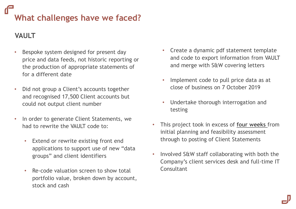# **What challenges have we faced?**

### **VAULT**

- Bespoke system designed for present day price and data feeds, not historic reporting or the production of appropriate statements of for a different date
- Did not group a Client's accounts together and recognised 17,500 Client accounts but could not output client number
- In order to generate Client Statements, we had to rewrite the VAULT code to:
	- Extend or rewrite existing front end applications to support use of new "data groups" and client identifiers
	- Re-code valuation screen to show total portfolio value, broken down by account, stock and cash
- Create a dynamic pdf statement template and code to export information from VAULT and merge with S&W covering letters
- Implement code to pull price data as at close of business on 7 October 2019
- Undertake thorough interrogation and testing
- This project took in excess of **four weeks** from initial planning and feasibility assessment through to posting of Client Statements
- Involved S&W staff collaborating with both the Company's client services desk and full-time IT **Consultant**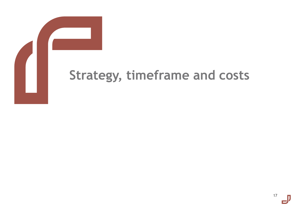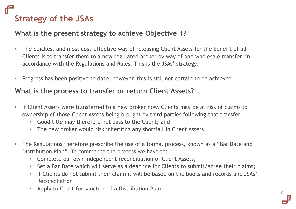# **Strategy of the JSAs**

### **What is the present strategy to achieve Objective 1?**

- The quickest and most cost-effective way of releasing Client Assets for the benefit of all Clients is to transfer them to a new regulated broker by way of one wholesale transfer in accordance with the Regulations and Rules. This is the JSAs' strategy.
- Progress has been positive to date, however, this is still not certain to be achieved

### **What is the process to transfer or return Client Assets?**

- If Client Assets were transferred to a new broker now, Clients may be at risk of claims to ownership of those Client Assets being brought by third parties following that transfer
	- Good title may therefore not pass to the Client; and
	- The new broker would risk inheriting any shortfall in Client Assets
- The Regulations therefore prescribe the use of a formal process, known as a "Bar Date and Distribution Plan". To commence the process we have to:
	- Complete our own independent reconciliation of Client Assets;
	- Set a Bar Date which will serve as a deadline for Clients to submit/agree their claims;
	- If Clients do not submit their claim it will be based on the books and records and JSAs' Reconciliation
	- Apply to Court for sanction of a Distribution Plan.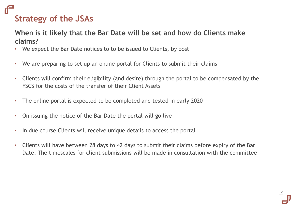# **Strategy of the JSAs**

### **When is it likely that the Bar Date will be set and how do Clients make claims?**

- We expect the Bar Date notices to to be issued to Clients, by post
- We are preparing to set up an online portal for Clients to submit their claims
- Clients will confirm their eligibility (and desire) through the portal to be compensated by the FSCS for the costs of the transfer of their Client Assets
- The online portal is expected to be completed and tested in early 2020
- On issuing the notice of the Bar Date the portal will go live
- In due course Clients will receive unique details to access the portal
- Clients will have between 28 days to 42 days to submit their claims before expiry of the Bar Date. The timescales for client submissions will be made in consultation with the committee

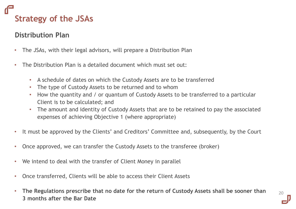# **Strategy of the JSAs**

### **Distribution Plan**

- The JSAs, with their legal advisors, will prepare a Distribution Plan
- The Distribution Plan is a detailed document which must set out:
	- A schedule of dates on which the Custody Assets are to be transferred
	- The type of Custody Assets to be returned and to whom
	- How the quantity and / or quantum of Custody Assets to be transferred to a particular Client is to be calculated; and
	- The amount and identity of Custody Assets that are to be retained to pay the associated expenses of achieving Objective 1 (where appropriate)
- It must be approved by the Clients' and Creditors' Committee and, subsequently, by the Court
- Once approved, we can transfer the Custody Assets to the transferee (broker)
- We intend to deal with the transfer of Client Money in parallel
- Once transferred, Clients will be able to access their Client Assets
- **The Regulations prescribe that no date for the return of Custody Assets shall be sooner than 3 months after the Bar Date**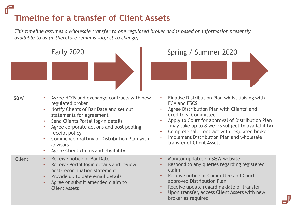# **Timeline for a transfer of Client Assets**

*This timeline assumes a wholesale transfer to one regulated broker and is based on information presently available to us (it therefore remains subject to change)* 

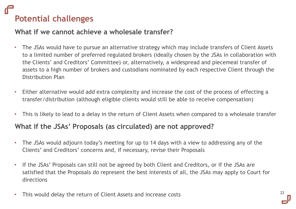# **Potential challenges**

### **What if we cannot achieve a wholesale transfer?**

- The JSAs would have to pursue an alternative strategy which may include transfers of Client Assets to a limited number of preferred regulated brokers (ideally chosen by the JSAs in collaboration with the Clients' and Creditors' Committee) or, alternatively, a widespread and piecemeal transfer of assets to a high number of brokers and custodians nominated by each respective Client through the Distribution Plan
- Either alternative would add extra complexity and increase the cost of the process of effecting a transfer/distribution (although eligible clients would still be able to receive compensation)
- This is likely to lead to a delay in the return of Client Assets when compared to a wholesale transfer

### **What if the JSAs' Proposals (as circulated) are not approved?**

- The JSAs would adjourn today's meeting for up to 14 days with a view to addressing any of the Clients' and Creditors' concerns and, if necessary, revise their Proposals
- If the JSAs' Proposals can still not be agreed by both Client and Creditors, or if the JSAs are satisfied that the Proposals do represent the best interests of all, the JSAs may apply to Court for directions
- This would delay the return of Client Assets and increase costs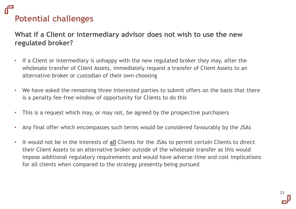# **Potential challenges**

**What if a Client or intermediary advisor does not wish to use the new regulated broker?**

- If a Client or intermediary is unhappy with the new regulated broker they may, after the wholesale transfer of Client Assets, immediately request a transfer of Client Assets to an alternative broker or custodian of their own choosing
- We have asked the remaining three interested parties to submit offers on the basis that there is a penalty fee-free window of opportunity for Clients to do this
- This is a request which may, or may not, be agreed by the prospective purchasers
- Any final offer which encompasses such terms would be considered favourably by the JSAs
- It would not be in the interests of **all** Clients for the JSAs to permit certain Clients to direct their Client Assets to an alternative broker outside of the wholesale transfer as this would impose additional regulatory requirements and would have adverse time and cost implications for all clients when compared to the strategy presently being pursued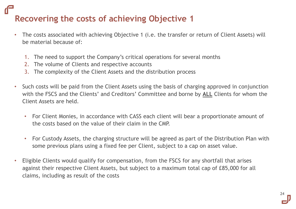# **Recovering the costs of achieving Objective 1**

- The costs associated with achieving Objective 1 (*i.e.* the transfer or return of Client Assets) will be material because of:
	- 1. The need to support the Company's critical operations for several months
	- 2. The volume of Clients and respective accounts
	- 3. The complexity of the Client Assets and the distribution process
- Such costs will be paid from the Client Assets using the basis of charging approved in conjunction with the FSCS and the Clients' and Creditors' Committee and borne by **ALL** Clients for whom the Client Assets are held.
	- For Client Monies, in accordance with CASS each client will bear a proportionate amount of the costs based on the value of their claim in the CMP.
	- For Custody Assets, the charging structure will be agreed as part of the Distribution Plan with some previous plans using a fixed fee per Client, subject to a cap on asset value.
- Eligible Clients would qualify for compensation, from the FSCS for any shortfall that arises against their respective Client Assets, but subject to a maximum total cap of £85,000 for all claims, including as result of the costs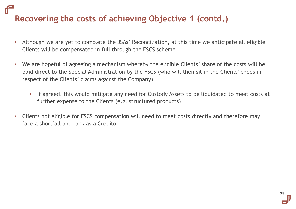# **Recovering the costs of achieving Objective 1 (contd.)**

- Although we are yet to complete the JSAs' Reconciliation, at this time we anticipate all eligible Clients will be compensated in full through the FSCS scheme
- We are hopeful of agreeing a mechanism whereby the eligible Clients' share of the costs will be paid direct to the Special Administration by the FSCS (who will then sit in the Clients' shoes in respect of the Clients' claims against the Company)
	- If agreed, this would mitigate any need for Custody Assets to be liquidated to meet costs at further expense to the Clients (e.g. structured products)
- Clients not eligible for FSCS compensation will need to meet costs directly and therefore may face a shortfall and rank as a Creditor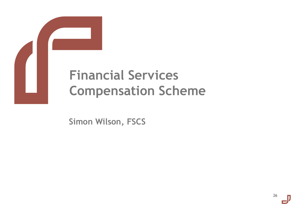

**Financial Services Compensation Scheme** 

**Simon Wilson, FSCS**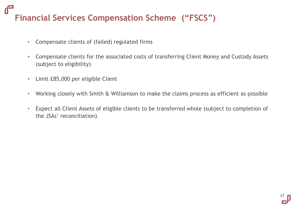# **Financial Services Compensation Scheme ("FSCS")**

- Compensate clients of (failed) regulated firms
- Compensate clients for the associated costs of transferring Client Money and Custody Assets (subject to eligibility)
- Limit £85,000 per eligible Client
- Working closely with Smith & Williamson to make the claims process as efficient as possible
- Expect all Client Assets of eligible clients to be transferred whole (subject to completion of the JSAs' reconciliation)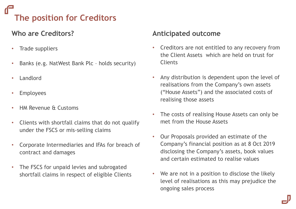# **The position for Creditors**

### **Who are Creditors?**

- Trade suppliers
- Banks (e.g. NatWest Bank Plc holds security)
- **Landlord**
- **Employees**
- HM Revenue & Customs
- Clients with shortfall claims that do not qualify under the FSCS or mis-selling claims
- Corporate Intermediaries and IFAs for breach of contract and damages
- The FSCS for unpaid levies and subrogated shortfall claims in respect of eligible Clients

### **Anticipated outcome**

- Creditors are not entitled to any recovery from the Client Assets which are held on trust for **Clients**
- Any distribution is dependent upon the level of realisations from the Company's own assets ("House Assets") and the associated costs of realising those assets
- The costs of realising House Assets can only be met from the House Assets
- Our Proposals provided an estimate of the Company's financial position as at 8 Oct 2019 disclosing the Company's assets, book values and certain estimated to realise values
- We are not in a position to disclose the likely level of realisations as this may prejudice the ongoing sales process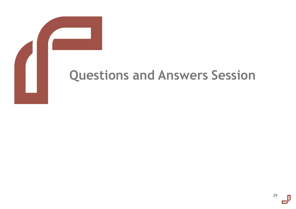# **Questions and Answers Session**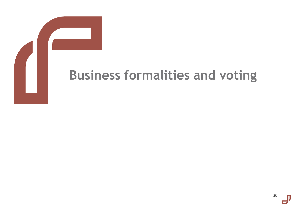# **Business formalities and voting**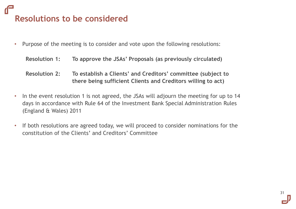# **Resolutions to be considered**

- Purpose of the meeting is to consider and vote upon the following resolutions:
	- **Resolution 1: To approve the JSAs' Proposals (as previously circulated)**
	- **Resolution 2: To establish a Clients' and Creditors' committee (subject to there being sufficient Clients and Creditors willing to act)**
- In the event resolution 1 is not agreed, the JSAs will adjourn the meeting for up to 14 days in accordance with Rule 64 of the Investment Bank Special Administration Rules (England & Wales) 2011
- If both resolutions are agreed today, we will proceed to consider nominations for the constitution of the Clients' and Creditors' Committee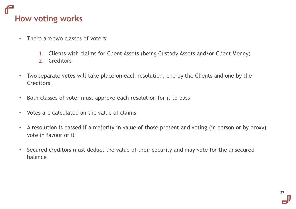# **How voting works**

- There are two classes of voters:
	- 1. Clients with claims for Client Assets (being Custody Assets and/or Client Money)
	- 2. Creditors
- Two separate votes will take place on each resolution, one by the Clients and one by the **Creditors**
- Both classes of voter must approve each resolution for it to pass
- Votes are calculated on the value of claims
- A resolution is passed if a majority in value of those present and voting (in person or by proxy) vote in favour of it
- Secured creditors must deduct the value of their security and may vote for the unsecured balance

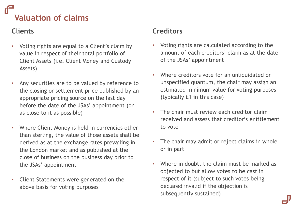# **Valuation of claims**

### **Clients**

- Voting rights are equal to a Client's claim by value in respect of their total portfolio of Client Assets (i.e. Client Money and Custody Assets)
- Any securities are to be valued by reference to the closing or settlement price published by an appropriate pricing source on the last day before the date of the JSAs' appointment (or as close to it as possible)
- Where Client Money is held in currencies other than sterling, the value of those assets shall be derived as at the exchange rates prevailing in the London market and as published at the close of business on the business day prior to the JSAs' appointment
- Client Statements were generated on the above basis for voting purposes

### **Creditors**

- Voting rights are calculated according to the amount of each creditors' claim as at the date of the JSAs' appointment
- Where creditors vote for an unliquidated or unspecified quantum, the chair may assign an estimated minimum value for voting purposes (typically £1 in this case)
- The chair must review each creditor claim received and assess that creditor's entitlement to vote
- The chair may admit or reject claims in whole or in part
- Where in doubt, the claim must be marked as objected to but allow votes to be cast in respect of it (subject to such votes being declared invalid if the objection is subsequently sustained)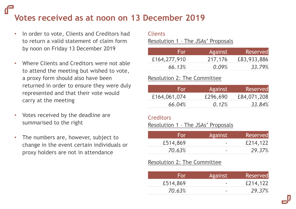# **Votes received as at noon on 13 December 2019**

- In order to vote, Clients and Creditors had to return a valid statement of claim form by noon on Friday 13 December 2019
- Where Clients and Creditors were not able to attend the meeting but wished to vote, a proxy form should also have been returned in order to ensure they were duly represented and that their vote would carry at the meeting
- Votes received by the deadline are summarised to the right
- The numbers are, however, subject to change in the event certain individuals or proxy holders are not in attendance

### Clients

Resolution 1 – The JSAs' Proposals

| For          | Against | Reserved    |
|--------------|---------|-------------|
| £164,277,910 | 217,176 | £83,933,886 |
| 66.13%       | 0.09%   | 33.79%      |

### Resolution 2: The Committee

| For          | Against  | Reserved    |
|--------------|----------|-------------|
| £164,061,074 | £296,690 | £84,071,208 |
| 66.04%       | 0.12%    | 33.84%      |

### **Creditors**

### Resolution 1 – The JSAs' Proposals

| For      | Against                  | <b>Reserved</b> |
|----------|--------------------------|-----------------|
| £514,869 |                          | £214,122        |
| 70.63%   | $\overline{\phantom{a}}$ | 29.37%          |

### Resolution 2: The Committee

| For      | <b>Against</b> | Reserved |
|----------|----------------|----------|
| £514,869 | -              | £214,122 |
| 70.63%   | -              | 29.37%   |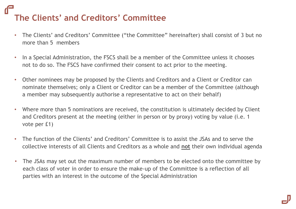# **The Clients' and Creditors' Committee**

- The Clients' and Creditors' Committee ("the Committee" hereinafter) shall consist of 3 but no more than 5 members
- In a Special Administration, the FSCS shall be a member of the Committee unless it chooses not to do so. The FSCS have confirmed their consent to act prior to the meeting.
- Other nominees may be proposed by the Clients and Creditors and a Client or Creditor can nominate themselves; only a Client or Creditor can be a member of the Committee (although a member may subsequently authorise a representative to act on their behalf)
- Where more than 5 nominations are received, the constitution is ultimately decided by Client and Creditors present at the meeting (either in person or by proxy) voting by value (i.e. 1 vote per £1)
- The function of the Clients' and Creditors' Committee is to assist the JSAs and to serve the collective interests of all Clients and Creditors as a whole and **not** their own individual agenda
- The JSAs may set out the maximum number of members to be elected onto the committee by each class of voter in order to ensure the make-up of the Committee is a reflection of all parties with an interest in the outcome of the Special Administration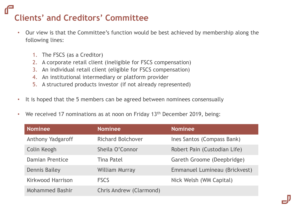# **Clients' and Creditors' Committee**

- Our view is that the Committee's function would be best achieved by membership along the following lines:
	- 1. The FSCS (as a Creditor)
	- 2. A corporate retail client (ineligible for FSCS compensation)
	- 3. An individual retail client (eligible for FSCS compensation)
	- 4. An institutional intermediary or platform provider
	- 5. A structured products investor (if not already represented)
- It is hoped that the 5 members can be agreed between nominees consensually
- We received 17 nominations as at noon on Friday 13<sup>th</sup> December 2019, being:

| <b>Nominee</b>           | <b>Nominee</b>           | <b>Nominee</b>                |
|--------------------------|--------------------------|-------------------------------|
| <b>Anthony Yadgaroff</b> | <b>Richard Bolchover</b> | Ines Santos (Compass Bank)    |
| Colin Keogh              | Sheila O'Connor          | Robert Pain (Custodian Life)  |
| <b>Damian Prentice</b>   | <b>Tina Patel</b>        | Gareth Groome (Deepbridge)    |
| <b>Dennis Bailey</b>     | <b>William Murray</b>    | Emmanuel Lumineau (Brickvest) |
| <b>Kirkwood Harrison</b> | <b>FSCS</b>              | Nick Welsh (WM Capital)       |
| <b>Mohammed Bashir</b>   | Chris Andrew (Clarmond)  |                               |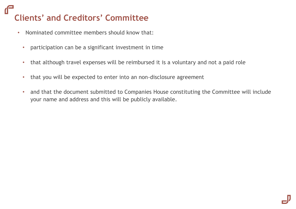# **Clients' and Creditors' Committee**

- Nominated committee members should know that:
	- participation can be a significant investment in time
	- that although travel expenses will be reimbursed it is a voluntary and not a paid role
	- that you will be expected to enter into an non-disclosure agreement
	- and that the document submitted to Companies House constituting the Committee will include your name and address and this will be publicly available.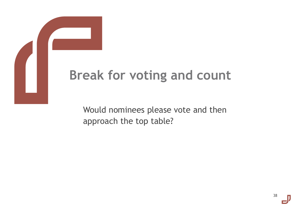# **Break for voting and count**

Would nominees please vote and then approach the top table?